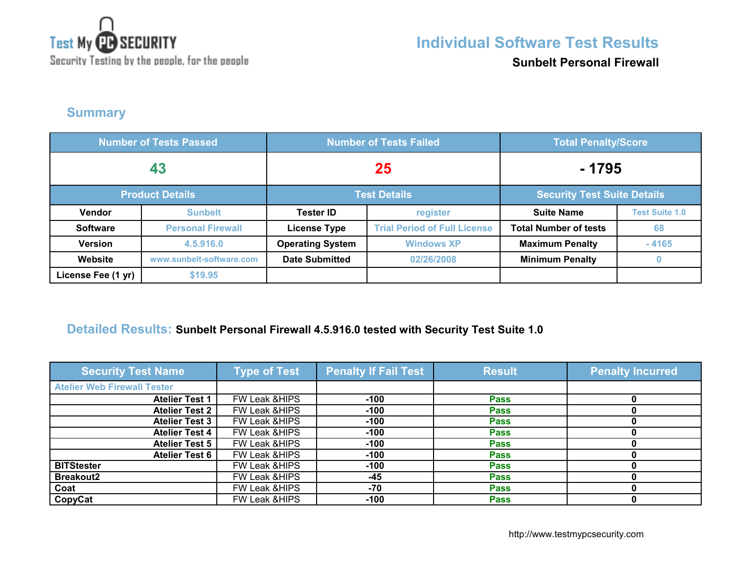

**Sunbelt Personal Firewall**

**Summary**

| <b>Number of Tests Passed</b> |                          | <b>Number of Tests Failed</b> |                                     | <b>Total Penalty/Score</b>         |                       |
|-------------------------------|--------------------------|-------------------------------|-------------------------------------|------------------------------------|-----------------------|
| 43                            |                          | 25                            |                                     | - 1795                             |                       |
| <b>Product Details</b>        |                          | <b>Test Details</b>           |                                     | <b>Security Test Suite Details</b> |                       |
| Vendor                        | <b>Sunbelt</b>           | <b>Tester ID</b>              | register                            | <b>Suite Name</b>                  | <b>Test Suite 1.0</b> |
| <b>Software</b>               | <b>Personal Firewall</b> | <b>License Type</b>           | <b>Trial Period of Full License</b> | <b>Total Number of tests</b>       | 68                    |
| <b>Version</b>                | 4.5.916.0                | <b>Operating System</b>       | <b>Windows XP</b>                   | <b>Maximum Penalty</b>             | $-4165$               |
| Website                       | www.sunbelt-software.com | <b>Date Submitted</b>         | 02/26/2008                          | <b>Minimum Penalty</b>             | $\bf{0}$              |
| License Fee (1 yr)            | \$19.95                  |                               |                                     |                                    |                       |

## **Detailed Results: Sunbelt Personal Firewall 4.5.916.0 tested with Security Test Suite 1.0**

| <b>Security Test Name</b>          | <b>Type of Test</b>      | <b>Penalty If Fail Test</b> | <b>Result</b> | <b>Penalty Incurred</b> |
|------------------------------------|--------------------------|-----------------------------|---------------|-------------------------|
| <b>Atelier Web Firewall Tester</b> |                          |                             |               |                         |
| <b>Atelier Test 1</b>              | FW Leak & HIPS           | $-100$                      | <b>Pass</b>   |                         |
| <b>Atelier Test 2</b>              | FW Leak & HIPS           | $-100$                      | <b>Pass</b>   |                         |
| <b>Atelier Test 3</b>              | FW Leak & HIPS           | $-100$                      | <b>Pass</b>   |                         |
| <b>Atelier Test 4</b>              | FW Leak & HIPS           | $-100$                      | <b>Pass</b>   |                         |
| <b>Atelier Test 5</b>              | FW Leak & HIPS           | $-100$                      | <b>Pass</b>   |                         |
| <b>Atelier Test 6</b>              | FW Leak & HIPS           | $-100$                      | <b>Pass</b>   |                         |
| <b>BITStester</b>                  | <b>FW Leak &amp;HIPS</b> | $-100$                      | <b>Pass</b>   |                         |
| <b>Breakout2</b>                   | <b>FW Leak &amp;HIPS</b> | -45                         | <b>Pass</b>   |                         |
| Coat                               | <b>FW Leak &amp;HIPS</b> | -70                         | <b>Pass</b>   |                         |
| CopyCat                            | <b>FW Leak &amp;HIPS</b> | $-100$                      | <b>Pass</b>   |                         |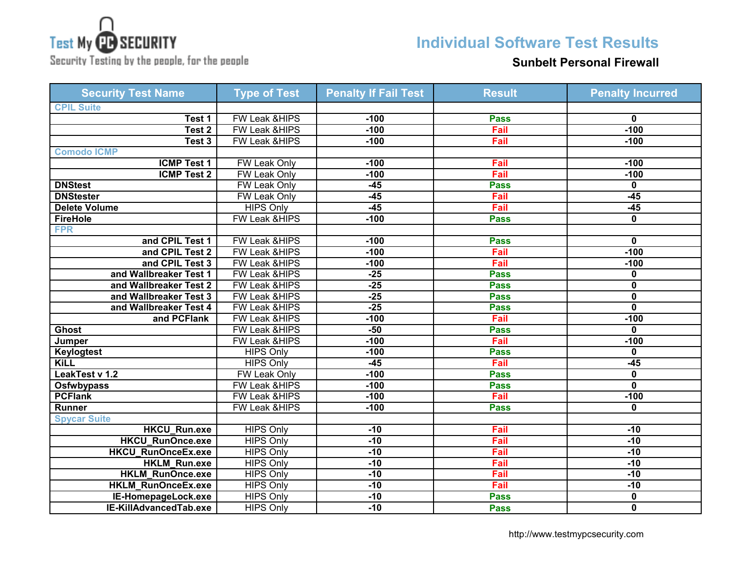

## **Individual Software Test Results**

Security Testing by the people, for the people

| <b>Security Test Name</b>     | <b>Type of Test</b>      | <b>Penalty If Fail Test</b> | <b>Result</b> | <b>Penalty Incurred</b> |
|-------------------------------|--------------------------|-----------------------------|---------------|-------------------------|
| <b>CPIL Suite</b>             |                          |                             |               |                         |
| Test 1                        | FW Leak &HIPS            | $-100$                      | <b>Pass</b>   | 0                       |
| Test 2                        | FW Leak &HIPS            | $-100$                      | Fail          | $-100$                  |
| Test 3                        | <b>FW Leak &amp;HIPS</b> | $-100$                      | Fail          | $-100$                  |
| <b>Comodo ICMP</b>            |                          |                             |               |                         |
| <b>ICMP Test 1</b>            | FW Leak Only             | $-100$                      | Fail          | $-100$                  |
| <b>ICMP Test 2</b>            | <b>FW Leak Only</b>      | $-100$                      | Fail          | $-100$                  |
| <b>DNStest</b>                | FW Leak Only             | $-45$                       | <b>Pass</b>   | 0                       |
| <b>DNStester</b>              | FW Leak Only             | $-45$                       | Fail          | $-45$                   |
| <b>Delete Volume</b>          | <b>HIPS Only</b>         | $-45$                       | Fail          | $-45$                   |
| <b>FireHole</b>               | <b>FW Leak &amp;HIPS</b> | $-100$                      | <b>Pass</b>   | 0                       |
| <b>FPR</b>                    |                          |                             |               |                         |
| and CPIL Test 1               | FW Leak &HIPS            | $-100$                      | <b>Pass</b>   | 0                       |
| and CPIL Test 2               | <b>FW Leak &amp;HIPS</b> | $-100$                      | Fail          | $-100$                  |
| and CPIL Test 3               | FW Leak &HIPS            | $-100$                      | Fail          | $-100$                  |
| and Wallbreaker Test 1        | FW Leak &HIPS            | $-25$                       | <b>Pass</b>   | $\mathbf 0$             |
| and Wallbreaker Test 2        | FW Leak &HIPS            | $-25$                       | <b>Pass</b>   | $\mathbf 0$             |
| and Wallbreaker Test 3        | FW Leak &HIPS            | $-25$                       | <b>Pass</b>   | 0                       |
| and Wallbreaker Test 4        | FW Leak &HIPS            | $-25$                       | <b>Pass</b>   | $\mathbf 0$             |
| and PCFlank                   | <b>FW Leak &amp;HIPS</b> | $-100$                      | Fail          | $-100$                  |
| <b>Ghost</b>                  | <b>FW Leak &amp;HIPS</b> | $-50$                       | <b>Pass</b>   | $\overline{\mathbf{0}}$ |
| Jumper                        | <b>FW Leak &amp;HIPS</b> | $-100$                      | Fail          | $-100$                  |
| <b>Keylogtest</b>             | <b>HIPS Only</b>         | $-100$                      | <b>Pass</b>   | 0                       |
| <b>KiLL</b>                   | <b>HIPS Only</b>         | $-45$                       | Fail          | $-45$                   |
| LeakTest v 1.2                | FW Leak Only             | $-100$                      | <b>Pass</b>   | 0                       |
| <b>Osfwbypass</b>             | <b>FW Leak &amp;HIPS</b> | $-100$                      | <b>Pass</b>   | $\overline{\mathbf{0}}$ |
| <b>PCFlank</b>                | <b>FW Leak &amp;HIPS</b> | $-100$                      | Fail          | $-100$                  |
| <b>Runner</b>                 | FW Leak &HIPS            | $-100$                      | <b>Pass</b>   | 0                       |
| <b>Spycar Suite</b>           |                          |                             |               |                         |
| <b>HKCU_Run.exe</b>           | <b>HIPS Only</b>         | $-10$                       | Fail          | $-10$                   |
| <b>HKCU RunOnce.exe</b>       | <b>HIPS Only</b>         | $-10$                       | Fail          | $-10$                   |
| <b>HKCU_RunOnceEx.exe</b>     | <b>HIPS Only</b>         | $-10$                       | Fail          | $-10$                   |
| <b>HKLM Run.exe</b>           | <b>HIPS Only</b>         | $-10$                       | Fail          | $-10$                   |
| HKLM_RunOnce.exe              | <b>HIPS Only</b>         | $-10$                       | Fail          | $-10$                   |
| <b>HKLM RunOnceEx.exe</b>     | <b>HIPS Only</b>         | $-10$                       | Fail          | $-10$                   |
| IE-HomepageLock.exe           | <b>HIPS Only</b>         | $-10$                       | <b>Pass</b>   | 0                       |
| <b>IE-KillAdvancedTab.exe</b> | <b>HIPS Only</b>         | $-10$                       | <b>Pass</b>   | 0                       |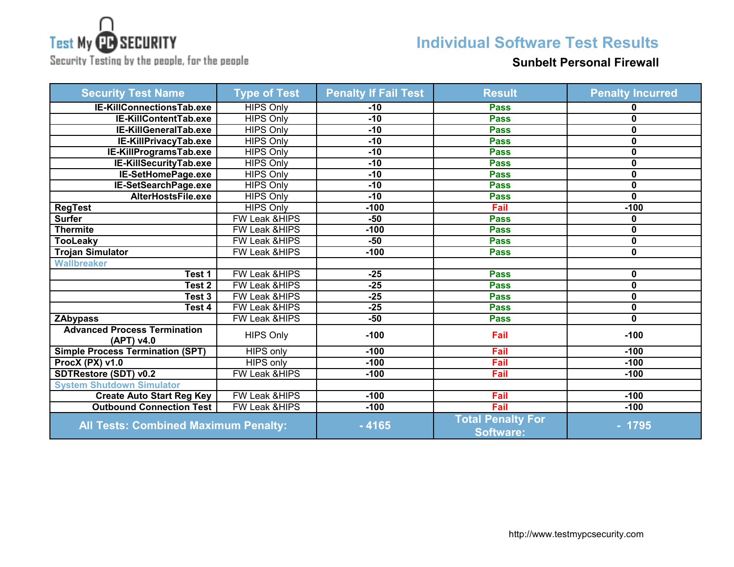

Security Testing by the people, for the people

## **Individual Software Test Results**

| <b>Security Test Name</b>                         | <b>Type of Test</b>      | <b>Penalty If Fail Test</b> | <b>Result</b>                                | <b>Penalty Incurred</b> |
|---------------------------------------------------|--------------------------|-----------------------------|----------------------------------------------|-------------------------|
| IE-KillConnectionsTab.exe                         | <b>HIPS Only</b>         | $-10$                       | <b>Pass</b>                                  | n                       |
| IE-KillContentTab.exe                             | <b>HIPS Only</b>         | $-10$                       | <b>Pass</b>                                  | 0                       |
| IE-KillGeneralTab.exe                             | <b>HIPS Only</b>         | $-10$                       | <b>Pass</b>                                  | 0                       |
| IE-KillPrivacyTab.exe                             | <b>HIPS Only</b>         | $-10$                       | <b>Pass</b>                                  | 0                       |
| IE-KillProgramsTab.exe                            | <b>HIPS Only</b>         | $-10$                       | <b>Pass</b>                                  | 0                       |
| IE-KillSecurityTab.exe                            | <b>HIPS Only</b>         | $-10$                       | <b>Pass</b>                                  | 0                       |
| IE-SetHomePage.exe                                | <b>HIPS Only</b>         | $-10$                       | <b>Pass</b>                                  | 0                       |
| IE-SetSearchPage.exe                              | <b>HIPS Only</b>         | $-10$                       | <b>Pass</b>                                  | 0                       |
| AlterHostsFile.exe                                | <b>HIPS Only</b>         | $-10$                       | <b>Pass</b>                                  | 0                       |
| <b>RegTest</b>                                    | <b>HIPS Only</b>         | $-100$                      | Fail                                         | $-100$                  |
| <b>Surfer</b>                                     | <b>FW Leak &amp;HIPS</b> | $-50$                       | <b>Pass</b>                                  | 0                       |
| <b>Thermite</b>                                   | FW Leak &HIPS            | $-100$                      | <b>Pass</b>                                  | 0                       |
| <b>TooLeaky</b>                                   | FW Leak &HIPS            | $-50$                       | <b>Pass</b>                                  | 0                       |
| <b>Trojan Simulator</b>                           | <b>FW Leak &amp;HIPS</b> | $-100$                      | <b>Pass</b>                                  | 0                       |
| <b>Wallbreaker</b>                                |                          |                             |                                              |                         |
| Test 1                                            | FW Leak &HIPS            | $-25$                       | <b>Pass</b>                                  | 0                       |
| Test 2                                            | FW Leak & HIPS           | $-25$                       | <b>Pass</b>                                  | 0                       |
| Test 3                                            | FW Leak & HIPS           | $-25$                       | <b>Pass</b>                                  | 0                       |
| Test 4                                            | FW Leak &HIPS            | $-25$                       | <b>Pass</b>                                  | 0                       |
| <b>ZAbypass</b>                                   | FW Leak & HIPS           | $-50$                       | <b>Pass</b>                                  | 0                       |
| <b>Advanced Process Termination</b><br>(APT) v4.0 | <b>HIPS Only</b>         | $-100$                      | Fail                                         | $-100$                  |
| <b>Simple Process Termination (SPT)</b>           | <b>HIPS only</b>         | $-100$                      | Fail                                         | $-100$                  |
| ProcX (PX) v1.0                                   | <b>HIPS only</b>         | $-100$                      | Fail                                         | $-100$                  |
| SDTRestore (SDT) v0.2                             | FW Leak &HIPS            | $-100$                      | Fail                                         | $-100$                  |
| <b>System Shutdown Simulator</b>                  |                          |                             |                                              |                         |
| <b>Create Auto Start Reg Key</b>                  | FW Leak & HIPS           | $-100$                      | Fail                                         | $-100$                  |
| <b>Outbound Connection Test</b>                   | FW Leak &HIPS            | $-100$                      | Fail                                         | $-100$                  |
| <b>All Tests: Combined Maximum Penalty:</b>       |                          | $-4165$                     | <b>Total Penalty For</b><br><b>Software:</b> | $-1795$                 |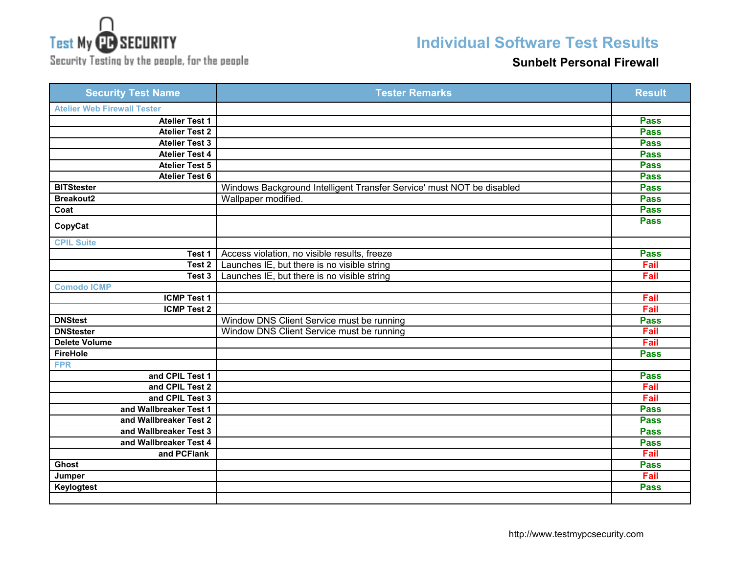# **Test My CO SECURITY**

Security Testing by the people, for the people

## **Individual Software Test Results**

| <b>Security Test Name</b>          | <b>Tester Remarks</b>                                                 | <b>Result</b> |
|------------------------------------|-----------------------------------------------------------------------|---------------|
| <b>Atelier Web Firewall Tester</b> |                                                                       |               |
| <b>Atelier Test 1</b>              |                                                                       | <b>Pass</b>   |
| <b>Atelier Test 2</b>              |                                                                       | <b>Pass</b>   |
| <b>Atelier Test 3</b>              |                                                                       | <b>Pass</b>   |
| <b>Atelier Test 4</b>              |                                                                       | <b>Pass</b>   |
| <b>Atelier Test 5</b>              |                                                                       | <b>Pass</b>   |
| <b>Atelier Test 6</b>              |                                                                       | <b>Pass</b>   |
| <b>BITStester</b>                  | Windows Background Intelligent Transfer Service' must NOT be disabled | <b>Pass</b>   |
| <b>Breakout2</b>                   | Wallpaper modified.                                                   | <b>Pass</b>   |
| Coat                               |                                                                       | <b>Pass</b>   |
| CopyCat                            |                                                                       | <b>Pass</b>   |
| <b>CPIL Suite</b>                  |                                                                       |               |
| Test 1                             | Access violation, no visible results, freeze                          | <b>Pass</b>   |
| Test 2                             | Launches IE, but there is no visible string                           | Fail          |
| Test 3                             | Launches IE, but there is no visible string                           | Fail          |
| <b>Comodo ICMP</b>                 |                                                                       |               |
| <b>ICMP Test 1</b>                 |                                                                       | Fail          |
| <b>ICMP Test 2</b>                 |                                                                       | Fail          |
| <b>DNStest</b>                     | Window DNS Client Service must be running                             | <b>Pass</b>   |
| <b>DNStester</b>                   | Window DNS Client Service must be running                             | Fail          |
| <b>Delete Volume</b>               |                                                                       | Fail          |
| <b>FireHole</b>                    |                                                                       | <b>Pass</b>   |
| <b>FPR</b>                         |                                                                       |               |
| and CPIL Test 1                    |                                                                       | <b>Pass</b>   |
| and CPIL Test 2                    |                                                                       | Fail          |
| and CPIL Test 3                    |                                                                       | Fail          |
| and Wallbreaker Test 1             |                                                                       | <b>Pass</b>   |
| and Wallbreaker Test 2             |                                                                       | <b>Pass</b>   |
| and Wallbreaker Test 3             |                                                                       | <b>Pass</b>   |
| and Wallbreaker Test 4             |                                                                       | <b>Pass</b>   |
| and PCFlank                        |                                                                       | Fail          |
| <b>Ghost</b>                       |                                                                       | <b>Pass</b>   |
| Jumper                             |                                                                       | Fail          |
| Keylogtest                         |                                                                       | <b>Pass</b>   |
|                                    |                                                                       |               |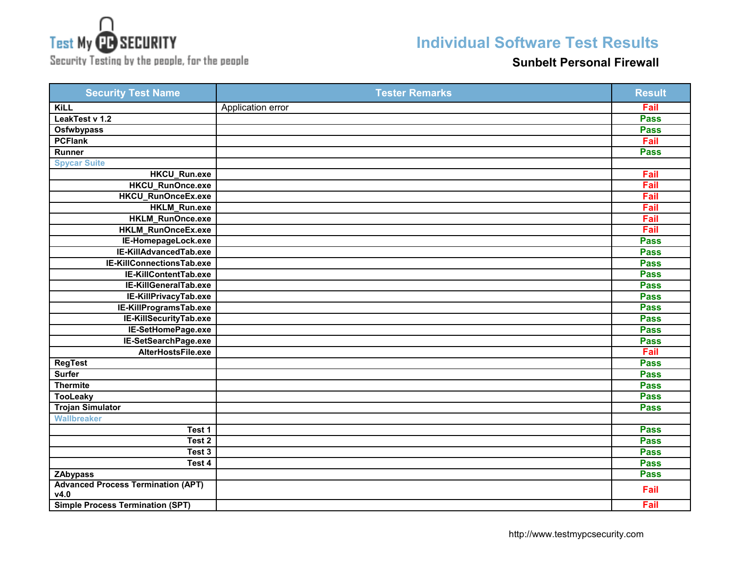

**Individual Software Test Results**

Security Testing by the people, for the people

| <b>Security Test Name</b>                         | <b>Tester Remarks</b> | <b>Result</b> |
|---------------------------------------------------|-----------------------|---------------|
| <b>KiLL</b>                                       | Application error     | Fail          |
| LeakTest v 1.2                                    |                       | <b>Pass</b>   |
| Osfwbypass                                        |                       | <b>Pass</b>   |
| <b>PCFlank</b>                                    |                       | Fail          |
| Runner                                            |                       | <b>Pass</b>   |
| <b>Spycar Suite</b>                               |                       |               |
| HKCU_Run.exe                                      |                       | Fail          |
| HKCU_RunOnce.exe                                  |                       | Fail          |
| HKCU_RunOnceEx.exe                                |                       | Fail          |
| HKLM_Run.exe                                      |                       | Fail          |
| HKLM_RunOnce.exe                                  |                       | Fail          |
| HKLM_RunOnceEx.exe                                |                       | Fail          |
| IE-HomepageLock.exe                               |                       | <b>Pass</b>   |
| IE-KillAdvancedTab.exe                            |                       | <b>Pass</b>   |
| IE-KillConnectionsTab.exe                         |                       | <b>Pass</b>   |
| IE-KillContentTab.exe                             |                       | <b>Pass</b>   |
| IE-KillGeneralTab.exe                             |                       | <b>Pass</b>   |
| IE-KillPrivacyTab.exe                             |                       | <b>Pass</b>   |
| IE-KillProgramsTab.exe                            |                       | <b>Pass</b>   |
| IE-KillSecurityTab.exe                            |                       | <b>Pass</b>   |
| IE-SetHomePage.exe                                |                       | <b>Pass</b>   |
| IE-SetSearchPage.exe                              |                       | <b>Pass</b>   |
| AlterHostsFile.exe                                |                       | Fail          |
| <b>RegTest</b>                                    |                       | <b>Pass</b>   |
| <b>Surfer</b>                                     |                       | <b>Pass</b>   |
| <b>Thermite</b>                                   |                       | <b>Pass</b>   |
| <b>TooLeaky</b>                                   |                       | <b>Pass</b>   |
| <b>Trojan Simulator</b>                           |                       | <b>Pass</b>   |
| Wallbreaker                                       |                       |               |
| Test 1                                            |                       | <b>Pass</b>   |
| Test 2                                            |                       | <b>Pass</b>   |
| Test 3                                            |                       | <b>Pass</b>   |
| Test 4                                            |                       | <b>Pass</b>   |
| <b>ZAbypass</b>                                   |                       | <b>Pass</b>   |
| <b>Advanced Process Termination (APT)</b><br>V4.0 |                       | Fail          |
| <b>Simple Process Termination (SPT)</b>           |                       | Fail          |